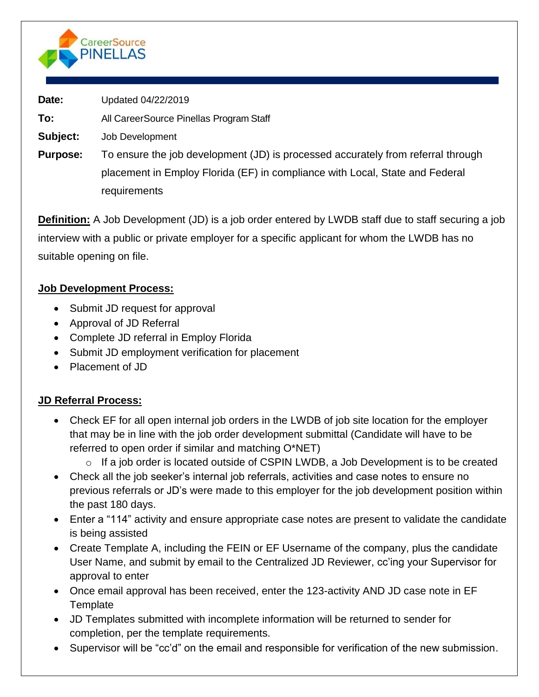

**Date:** Updated 04/22/2019

**To:** All CareerSource Pinellas Program Staff

**Subject:** Job Development

**Purpose:** To ensure the job development (JD) is processed accurately from referral through placement in Employ Florida (EF) in compliance with Local, State and Federal requirements

**Definition:** A Job Development (JD) is a job order entered by LWDB staff due to staff securing a job interview with a public or private employer for a specific applicant for whom the LWDB has no suitable opening on file.

# **Job Development Process:**

- Submit JD request for approval
- Approval of JD Referral
- Complete JD referral in Employ Florida
- Submit JD employment verification for placement
- Placement of JD

# **JD Referral Process:**

- Check EF for all open internal job orders in the LWDB of job site location for the employer that may be in line with the job order development submittal (Candidate will have to be referred to open order if similar and matching O\*NET)
	- o If a job order is located outside of CSPIN LWDB, a Job Development is to be created
- Check all the job seeker's internal job referrals, activities and case notes to ensure no previous referrals or JD's were made to this employer for the job development position within the past 180 days.
- Enter a "114" activity and ensure appropriate case notes are present to validate the candidate is being assisted
- Create Template A, including the FEIN or EF Username of the company, plus the candidate User Name, and submit by email to the Centralized JD Reviewer, cc'ing your Supervisor for approval to enter
- Once email approval has been received, enter the 123-activity AND JD case note in EF **Template**
- JD Templates submitted with incomplete information will be returned to sender for completion, per the template requirements.
- Supervisor will be "cc'd" on the email and responsible for verification of the new submission.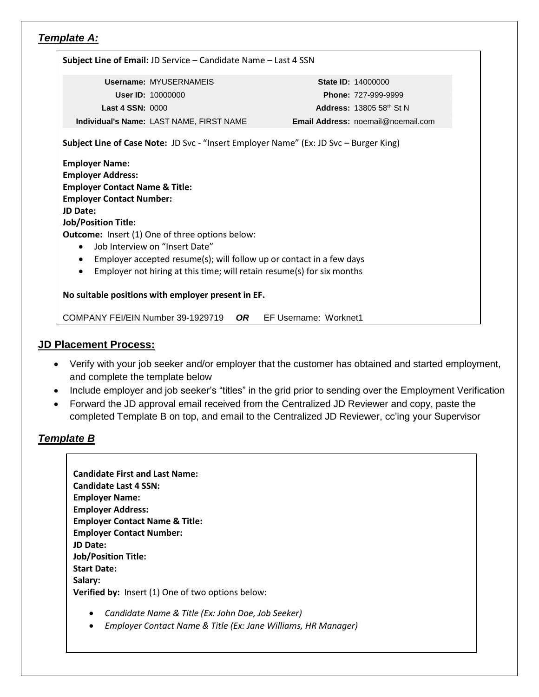### *Template A:*

| Subject Line of Email: JD Service - Candidate Name - Last 4 SSN                       |    |                                    |
|---------------------------------------------------------------------------------------|----|------------------------------------|
| <b>Username: MYUSERNAMEIS</b>                                                         |    | <b>State ID: 14000000</b>          |
| <b>User ID: 10000000</b>                                                              |    | <b>Phone: 727-999-9999</b>         |
| <b>Last 4 SSN: 0000</b>                                                               |    | <b>Address: 13805 58th St N</b>    |
| Individual's Name: LAST NAME, FIRST NAME                                              |    | Email Address: noemail@noemail.com |
| Subject Line of Case Note: JD Svc - "Insert Employer Name" (Ex: JD Svc - Burger King) |    |                                    |
| <b>Employer Name:</b>                                                                 |    |                                    |
| <b>Employer Address:</b>                                                              |    |                                    |
| <b>Employer Contact Name &amp; Title:</b>                                             |    |                                    |
| <b>Employer Contact Number:</b>                                                       |    |                                    |
| <b>JD Date:</b>                                                                       |    |                                    |
| <b>Job/Position Title:</b>                                                            |    |                                    |
| <b>Outcome:</b> Insert (1) One of three options below:                                |    |                                    |
| lob Interview on "Insert Date"<br>$\bullet$                                           |    |                                    |
| Employer accepted resume(s); will follow up or contact in a few days                  |    |                                    |
| Employer not hiring at this time; will retain resume(s) for six months<br>$\bullet$   |    |                                    |
|                                                                                       |    |                                    |
| No suitable positions with employer present in EF.                                    |    |                                    |
| COMPANY FEI/EIN Number 39-1929719                                                     | OR | EF Username: Worknet1              |

#### **JD Placement Process:**

- Verify with your job seeker and/or employer that the customer has obtained and started employment, and complete the template below
- Include employer and job seeker's "titles" in the grid prior to sending over the Employment Verification
- Forward the JD approval email received from the Centralized JD Reviewer and copy, paste the completed Template B on top, and email to the Centralized JD Reviewer, cc'ing your Supervisor

#### *Template B*

| <b>Candidate First and Last Name:</b>                    |
|----------------------------------------------------------|
| <b>Candidate Last 4 SSN:</b>                             |
| <b>Employer Name:</b>                                    |
| <b>Employer Address:</b>                                 |
| <b>Employer Contact Name &amp; Title:</b>                |
| <b>Employer Contact Number:</b>                          |
| <b>JD Date:</b>                                          |
| <b>Job/Position Title:</b>                               |
| <b>Start Date:</b>                                       |
| Salary:                                                  |
| <b>Verified by:</b> Insert (1) One of two options below: |
|                                                          |

- *Candidate Name & Title (Ex: John Doe, Job Seeker)*
- *Employer Contact Name & Title (Ex: Jane Williams, HR Manager)*